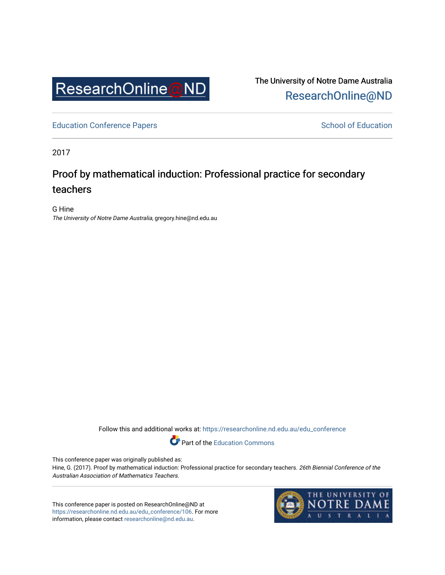

The University of Notre Dame Australia [ResearchOnline@ND](https://researchonline.nd.edu.au/) 

[Education Conference Papers](https://researchonline.nd.edu.au/edu_conference) **School of Education** School of Education

2017

## Proof by mathematical induction: Professional practice for secondary teachers

G Hine The University of Notre Dame Australia, gregory.hine@nd.edu.au

Follow this and additional works at: [https://researchonline.nd.edu.au/edu\\_conference](https://researchonline.nd.edu.au/edu_conference?utm_source=researchonline.nd.edu.au%2Fedu_conference%2F106&utm_medium=PDF&utm_campaign=PDFCoverPages)

Part of the [Education Commons](http://network.bepress.com/hgg/discipline/784?utm_source=researchonline.nd.edu.au%2Fedu_conference%2F106&utm_medium=PDF&utm_campaign=PDFCoverPages) 

This conference paper was originally published as:

Hine, G. (2017). Proof by mathematical induction: Professional practice for secondary teachers. 26th Biennial Conference of the Australian Association of Mathematics Teachers.

This conference paper is posted on ResearchOnline@ND at [https://researchonline.nd.edu.au/edu\\_conference/106](https://researchonline.nd.edu.au/edu_conference/106). For more information, please contact [researchonline@nd.edu.au.](mailto:researchonline@nd.edu.au)

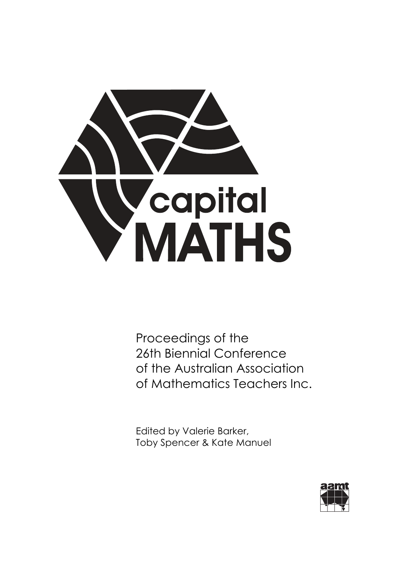

Proceedings of the 26th Biennial Conference of the Australian Association of Mathematics Teachers Inc.

Edited by Valerie Barker, Toby Spencer & Kate Manuel

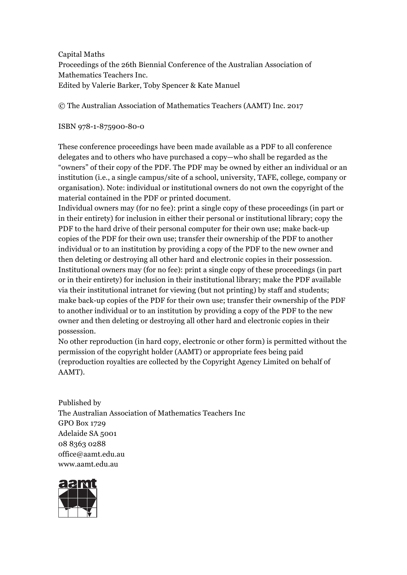Capital Maths Proceedings of the 26th Biennial Conference of the Australian Association of Mathematics Teachers Inc. Edited by Valerie Barker, Toby Spencer & Kate Manuel

© The Australian Association of Mathematics Teachers (AAMT) Inc. 2017

ISBN 978-1-875900-80-0

These conference proceedings have been made available as a PDF to all conference delegates and to others who have purchased a copy—who shall be regarded as the "owners" of their copy of the PDF. The PDF may be owned by either an individual or an institution (i.e., a single campus/site of a school, university, TAFE, college, company or organisation). Note: individual or institutional owners do not own the copyright of the material contained in the PDF or printed document.

Individual owners may (for no fee): print a single copy of these proceedings (in part or in their entirety) for inclusion in either their personal or institutional library; copy the PDF to the hard drive of their personal computer for their own use; make back-up copies of the PDF for their own use; transfer their ownership of the PDF to another individual or to an institution by providing a copy of the PDF to the new owner and then deleting or destroying all other hard and electronic copies in their possession. Institutional owners may (for no fee): print a single copy of these proceedings (in part or in their entirety) for inclusion in their institutional library; make the PDF available via their institutional intranet for viewing (but not printing) by staff and students; make back-up copies of the PDF for their own use; transfer their ownership of the PDF to another individual or to an institution by providing a copy of the PDF to the new owner and then deleting or destroying all other hard and electronic copies in their possession.

No other reproduction (in hard copy, electronic or other form) is permitted without the permission of the copyright holder (AAMT) or appropriate fees being paid (reproduction royalties are collected by the Copyright Agency Limited on behalf of AAMT).

Published by The Australian Association of Mathematics Teachers Inc GPO Box 1729 Adelaide SA 5001 08 8363 0288 office@aamt.edu.au www.aamt.edu.au

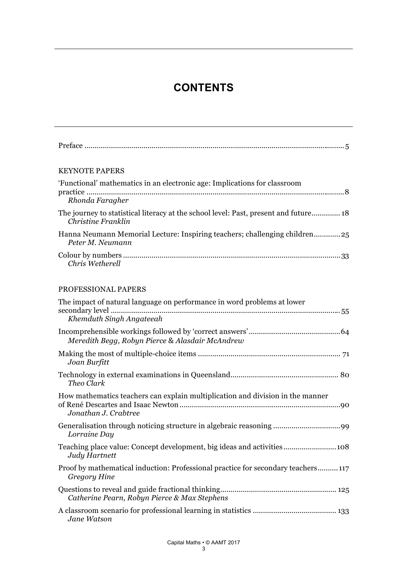# **CONTENTS**

| <b>KEYNOTE PAPERS</b>                                                                                      |
|------------------------------------------------------------------------------------------------------------|
| 'Functional' mathematics in an electronic age: Implications for classroom<br>Rhonda Faragher               |
| The journey to statistical literacy at the school level: Past, present and future 18<br>Christine Franklin |
| Hanna Neumann Memorial Lecture: Inspiring teachers; challenging children25<br>Peter M. Neumann             |
| Chris Wetherell                                                                                            |
| PROFESSIONAL PAPERS                                                                                        |
| The impact of natural language on performance in word problems at lower<br>Khemduth Singh Angateeah        |
| Meredith Begg, Robyn Pierce & Alasdair McAndrew                                                            |
| Joan Burfitt                                                                                               |
| Theo Clark                                                                                                 |
| How mathematics teachers can explain multiplication and division in the manner<br>Jonathan J. Crabtree     |
| Lorraine Day                                                                                               |
| Judy Hartnett                                                                                              |

[Proof by mathematical induction: Professional practice for secondary teachers .......... 117](#page-6-0) *Gregory Hine*

| Catherine Pearn, Robyn Pierce & Max Stephens |  |  |  |  |  |
|----------------------------------------------|--|--|--|--|--|
|                                              |  |  |  |  |  |

[A classroom scenario for professional learning in statistics ......................................... 133](#page--1-0) *Jane Watson*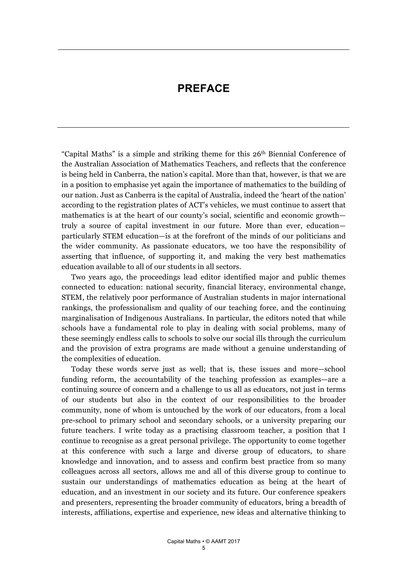## **PREFACE**

<span id="page-4-0"></span>"Capital Maths" is a simple and striking theme for this 26th Biennial Conference of the Australian Association of Mathematics Teachers, and reflects that the conference is being held in Canberra, the nation's capital. More than that, however, is that we are in a position to emphasise yet again the importance of mathematics to the building of our nation. Just as Canberra is the capital of Australia, indeed the 'heart of the nation' according to the registration plates of ACT's vehicles, we must continue to assert that mathematics is at the heart of our county's social, scientific and economic growth truly a source of capital investment in our future. More than ever, education particularly STEM education—is at the forefront of the minds of our politicians and the wider community. As passionate educators, we too have the responsibility of asserting that influence, of supporting it, and making the very best mathematics education available to all of our students in all sectors.

 Two years ago, the proceedings lead editor identified major and public themes connected to education: national security, financial literacy, environmental change, STEM, the relatively poor performance of Australian students in major international rankings, the professionalism and quality of our teaching force, and the continuing marginalisation of Indigenous Australians. In particular, the editors noted that while schools have a fundamental role to play in dealing with social problems, many of these seemingly endless calls to schools to solve our social ills through the curriculum and the provision of extra programs are made without a genuine understanding of the complexities of education.

 Today these words serve just as well; that is, these issues and more—school funding reform, the accountability of the teaching profession as examples—are a continuing source of concern and a challenge to us all as educators, not just in terms of our students but also in the context of our responsibilities to the broader community, none of whom is untouched by the work of our educators, from a local pre-school to primary school and secondary schools, or a university preparing our future teachers. I write today as a practising classroom teacher, a position that I continue to recognise as a great personal privilege. The opportunity to come together at this conference with such a large and diverse group of educators, to share knowledge and innovation, and to assess and confirm best practice from so many colleagues across all sectors, allows me and all of this diverse group to continue to sustain our understandings of mathematics education as being at the heart of education, and an investment in our society and its future. Our conference speakers and presenters, representing the broader community of educators, bring a breadth of interests, affiliations, expertise and experience, new ideas and alternative thinking to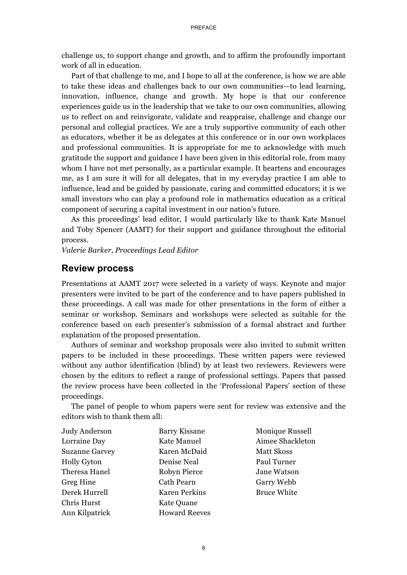challenge us, to support change and growth, and to affirm the profoundly important work of all in education.

 Part of that challenge to me, and I hope to all at the conference, is how we are able to take these ideas and challenges back to our own communities—to lead learning, innovation, influence, change and growth. My hope is that our conference experiences guide us in the leadership that we take to our own communities, allowing us to reflect on and reinvigorate, validate and reappraise, challenge and change our personal and collegial practices. We are a truly supportive community of each other as educators, whether it be as delegates at this conference or in our own workplaces and professional communities. It is appropriate for me to acknowledge with much gratitude the support and guidance I have been given in this editorial role, from many whom I have not met personally, as a particular example. It heartens and encourages me, as I am sure it will for all delegates, that in my everyday practice I am able to influence, lead and be guided by passionate, caring and committed educators; it is we small investors who can play a profound role in mathematics education as a critical component of securing a capital investment in our nation's future.

 As this proceedings' lead editor, I would particularly like to thank Kate Manuel and Toby Spencer (AAMT) for their support and guidance throughout the editorial process.

*Valerie Barker, Proceedings Lead Editor* 

### **Review process**

Presentations at AAMT 2017 were selected in a variety of ways. Keynote and major presenters were invited to be part of the conference and to have papers published in these proceedings. A call was made for other presentations in the form of either a seminar or workshop. Seminars and workshops were selected as suitable for the conference based on each presenter's submission of a formal abstract and further explanation of the proposed presentation.

 Authors of seminar and workshop proposals were also invited to submit written papers to be included in these proceedings. These written papers were reviewed without any author identification (blind) by at least two reviewers. Reviewers were chosen by the editors to reflect a range of professional settings. Papers that passed the review process have been collected in the 'Professional Papers' section of these proceedings.

 The panel of people to whom papers were sent for review was extensive and the editors wish to thank them all:

| Judy Anderson         | <b>Barry Kissane</b> | <b>Monique Russell</b> |
|-----------------------|----------------------|------------------------|
| Lorraine Day          | Kate Manuel          | Aimee Shackleton       |
| <b>Suzanne Garvey</b> | Karen McDaid         | Matt Skoss             |
| <b>Holly Gyton</b>    | Denise Neal          | Paul Turner            |
| Theresa Hanel         | Robyn Pierce         | Jane Watson            |
| <b>Greg Hine</b>      | Cath Pearn           | Garry Webb             |
| Derek Hurrell         | <b>Karen Perkins</b> | <b>Bruce White</b>     |
| Chris Hurst           | Kate Quane           |                        |
| Ann Kilpatrick        | <b>Howard Reeves</b> |                        |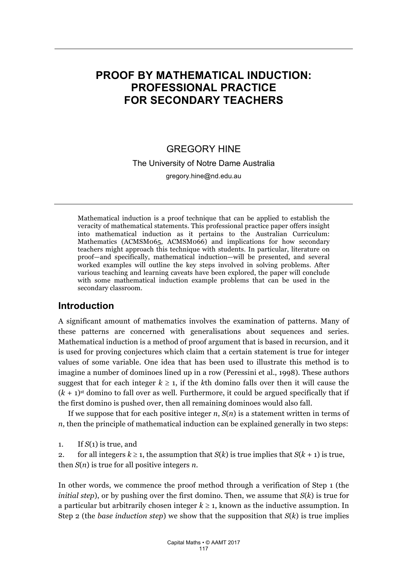# <span id="page-6-0"></span>**PROOF BY MATHEMATICAL INDUCTION: PROFESSIONAL PRACTICE FOR SECONDARY TEACHERS**

## **GREGORY HINE**

The University of Notre Dame Australia

gregory.hine@nd.edu.au

Mathematical induction is a proof technique that can be applied to establish the veracity of mathematical statements. This professional practice paper offers insight into mathematical induction as it pertains to the Australian Curriculum: Mathematics (ACMSM065, ACMSM066) and implications for how secondary teachers might approach this technique with students. In particular, literature on proof—and specifically, mathematical induction—will be presented, and several worked examples will outline the key steps involved in solving problems. After various teaching and learning caveats have been explored, the paper will conclude with some mathematical induction example problems that can be used in the secondary classroom.

## **Introduction**

A significant amount of mathematics involves the examination of patterns. Many of these patterns are concerned with generalisations about sequences and series. Mathematical induction is a method of proof argument that is based in recursion, and it is used for proving conjectures which claim that a certain statement is true for integer values of some variable. One idea that has been used to illustrate this method is to imagine a number of dominoes lined up in a row (Peressini et al., 1998). These authors suggest that for each integer  $k \geq 1$ , if the k<sup>th</sup> domino falls over then it will cause the  $(k + 1)$ <sup>st</sup> domino to fall over as well. Furthermore, it could be argued specifically that if the first domino is pushed over, then all remaining dominoes would also fall.

If we suppose that for each positive integer *n*, *S*(*n*) is a statement written in terms of *n*, then the principle of mathematical induction can be explained generally in two steps:

1. If  $S(1)$  is true, and

2. for all integers  $k \geq 1$ , the assumption that  $S(k)$  is true implies that  $S(k + 1)$  is true, then *S*(*n*) is true for all positive integers *n*.

In other words, we commence the proof method through a verification of Step 1 (the *initial step*), or by pushing over the first domino. Then, we assume that *S*(*k*) is true for a particular but arbitrarily chosen integer  $k \geq 1$ , known as the inductive assumption. In Step 2 (the *base induction step*) we show that the supposition that *S*(*k*) is true implies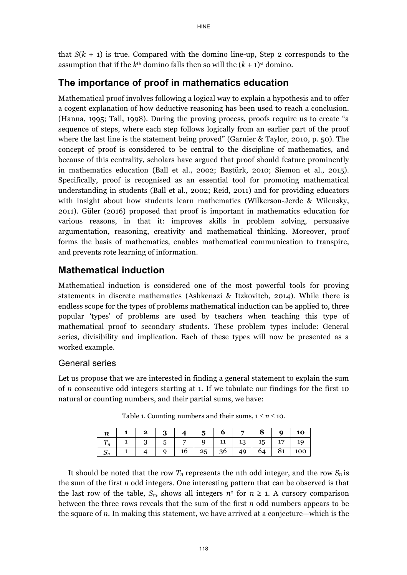that  $S(k + 1)$  is true. Compared with the domino line-up, Step 2 corresponds to the assumption that if the  $k<sup>th</sup>$  domino falls then so will the  $(k + 1)<sup>st</sup>$  domino.

### The importance of proof in mathematics education

Mathematical proof involves following a logical way to explain a hypothesis and to offer a cogent explanation of how deductive reasoning has been used to reach a conclusion. (Hanna, 1995; Tall, 1998). During the proving process, proofs require us to create "a sequence of steps, where each step follows logically from an earlier part of the proof where the last line is the statement being proved" (Garnier & Taylor, 2010, p. 50). The concept of proof is considered to be central to the discipline of mathematics, and because of this centrality, scholars have argued that proof should feature prominently in mathematics education (Ball et al., 2002; Baştürk, 2010; Siemon et al., 2015). Specifically, proof is recognised as an essential tool for promoting mathematical understanding in students (Ball et al., 2002; Reid, 2011) and for providing educators with insight about how students learn mathematics (Wilkerson-Jerde & Wilensky, 2011). Güler (2016) proposed that proof is important in mathematics education for various reasons, in that it: improves skills in problem solving, persuasive argumentation, reasoning, creativity and mathematical thinking. Moreover, proof forms the basis of mathematics, enables mathematical communication to transpire, and prevents rote learning of information.

### **Mathematical induction**

Mathematical induction is considered one of the most powerful tools for proving statements in discrete mathematics (Ashkenazi & Itzkovitch, 2014). While there is endless scope for the types of problems mathematical induction can be applied to, three popular 'types' of problems are used by teachers when teaching this type of mathematical proof to secondary students. These problem types include: General series, divisibility and implication. Each of these types will now be presented as a worked example.

#### General series

Let us propose that we are interested in finding a general statement to explain the sum of *n* consecutive odd integers starting at 1. If we tabulate our findings for the first 10 natural or counting numbers, and their partial sums, we have:

|  |  |  |  |  | $n \mid 1 \mid 2 \mid 3 \mid 4 \mid 5 \mid 6 \mid 7 \mid 8 \mid 9 \mid 10 \mid$ |
|--|--|--|--|--|---------------------------------------------------------------------------------|
|  |  |  |  |  | $T_n$   1   3   5   7   9   11   13   15   17   19                              |
|  |  |  |  |  | $S_n$   1   4   9   16   25   36   49   64   81   100                           |

Table 1. Counting numbers and their sums,  $1 \le n \le 10$ .

It should be noted that the row  $T_n$  represents the nth odd integer, and the row  $S_n$  is the sum of the first *n* odd integers. One interesting pattern that can be observed is that the last row of the table,  $S_n$ , shows all integers  $n^2$  for  $n \geq 1$ . A cursory comparison between the three rows reveals that the sum of the first *n* odd numbers appears to be the square of *n*. In making this statement, we have arrived at a conjecture—which is the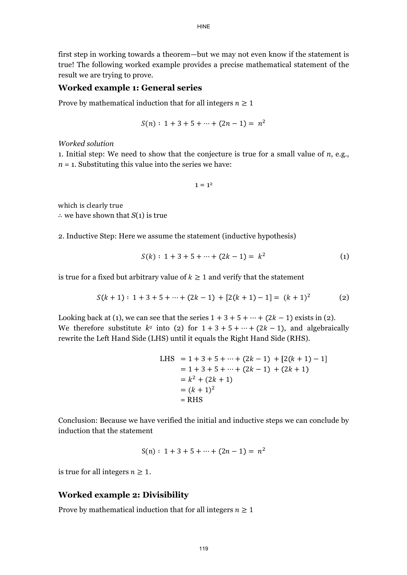first step in working towards a theorem—but we may not even know if the statement is true! The following worked example provides a precise mathematical statement of the result we are trying to prove.

#### **Worked example 1: General series**

Prove by mathematical induction that for all integers  $n \geq 1$ 

$$
S(n): 1 + 3 + 5 + \dots + (2n - 1) = n^2
$$

*Worked solution* 

1. Initial step: We need to show that the conjecture is true for a small value of *n*, e.g.,  $n = 1$ . Substituting this value into the series we have:

 $1 = 1<sup>2</sup>$ 

which is clearly true

 $\therefore$  we have shown that *S*(1) is true

2. Inductive Step: Here we assume the statement (inductive hypothesis)

$$
S(k): 1 + 3 + 5 + \dots + (2k - 1) = k^2
$$
 (1)

is true for a fixed but arbitrary value of  $k \geq 1$  and verify that the statement

$$
S(k + 1): 1 + 3 + 5 + \dots + (2k - 1) + [2(k + 1) - 1] = (k + 1)^2
$$
 (2)

Looking back at (1), we can see that the series  $1 + 3 + 5 + \cdots + (2k - 1)$  exists in (2). We therefore substitute  $k^2$  into (2) for  $1+3+5+\cdots+(2k-1)$ , and algebraically rewrite the Left Hand Side (LHS) until it equals the Right Hand Side (RHS).

 LHS = RHS

Conclusion: Because we have verified the initial and inductive steps we can conclude by induction that the statement

$$
S(n): 1 + 3 + 5 + \cdots + (2n - 1) = n^2
$$

is true for all integers  $n \geq 1$ .

#### **Worked example 2: Divisibility**

Prove by mathematical induction that for all integers  $n \geq 1$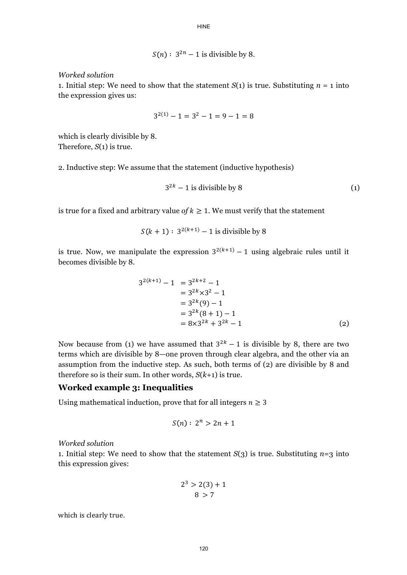$$
S(n): 3^{2n} - 1
$$
 is divisible by 8.

**HINE** 

*Worked solution* 

1. Initial step: We need to show that the statement  $S(1)$  is true. Substituting  $n = 1$  into the expression gives us:

$$
3^{2(1)} - 1 = 3^2 - 1 = 9 - 1 = 8
$$

which is clearly divisible by 8. Therefore, *S*(1) is true.

2. Inductive step: We assume that the statement (inductive hypothesis)

$$
3^{2k} - 1
$$
 is divisible by 8 (1)

is true for a fixed and arbitrary value *of*  $k \geq 1$ . We must verify that the statement

 $S(k + 1) : 3^{2(k+1)} - 1$  is divisible by 8

is true. Now, we manipulate the expression  $3^{2(k+1)} - 1$  using algebraic rules until it becomes divisible by 8.

$$
3^{2(k+1)} - 1 = 3^{2k+2} - 1
$$
  
= 3^{2k} \times 3^2 - 1  
= 3^{2k} (9) - 1  
= 3^{2k} (8 + 1) - 1  
= 8 \times 3^{2k} + 3^{2k} - 1 (2)

Now because from (1) we have assumed that  $3^{2k} - 1$  is divisible by 8, there are two terms which are divisible by 8—one proven through clear algebra, and the other via an assumption from the inductive step. As such, both terms of (2) are divisible by 8 and therefore so is their sum. In other words,  $S(k+1)$  is true.

#### **Worked example 3: Inequalities**

Using mathematical induction, prove that for all integers  $n \geq 3$ 

$$
S(n): 2^n > 2n + 1
$$

*Worked solution*

1. Initial step: We need to show that the statement  $S(3)$  is true. Substituting  $n=3$  into this expression gives:

$$
2^3 > 2(3) + 1
$$
  

$$
8 > 7
$$

which is clearly true.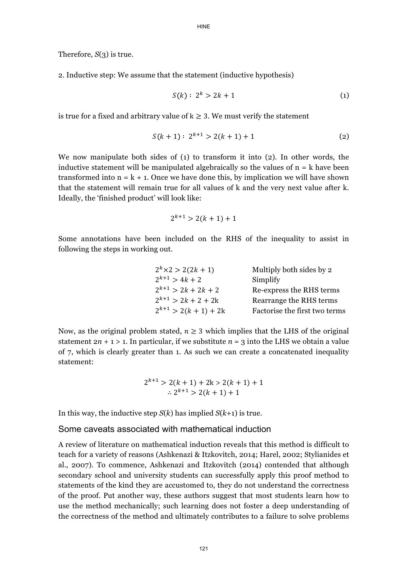Therefore, *S*(3) is true.

2. Inductive step: We assume that the statement (inductive hypothesis)

$$
S(k): 2^k > 2k + 1 \tag{1}
$$

is true for a fixed and arbitrary value of  $k \geq 3$ . We must verify the statement

$$
S(k+1): 2^{k+1} > 2(k+1) + 1
$$
 (2)

We now manipulate both sides of (1) to transform it into (2). In other words, the inductive statement will be manipulated algebraically so the values of  $n = k$  have been transformed into  $n = k + 1$ . Once we have done this, by implication we will have shown that the statement will remain true for all values of k and the very next value after k. Ideally, the 'finished product' will look like:

$$
2^{k+1} > 2(k+1) + 1
$$

Some annotations have been included on the RHS of the inequality to assist in following the steps in working out.

| $2^k \times 2 > 2(2k + 1)$ | Multiply both sides by 2      |
|----------------------------|-------------------------------|
| $2^{k+1}$ > 4k + 2         | Simplify                      |
| $2^{k+1}$ > 2k + 2k + 2    | Re-express the RHS terms      |
| $2^{k+1}$ > 2k + 2 + 2k    | Rearrange the RHS terms       |
| $2^{k+1}$ > 2(k + 1) + 2k  | Factorise the first two terms |

Now, as the original problem stated,  $n \geq 3$  which implies that the LHS of the original statement  $2n + 1 > 1$ . In particular, if we substitute  $n = 3$  into the LHS we obtain a value of 7, which is clearly greater than 1. As such we can create a concatenated inequality statement:

$$
2^{k+1} > 2(k + 1) + 2k > 2(k + 1) + 1
$$
  
 
$$
\therefore 2^{k+1} > 2(k + 1) + 1
$$

In this way, the inductive step *S*(*k*) has implied *S*(*k*+1) is true.

#### Some caveats associated with mathematical induction

A review of literature on mathematical induction reveals that this method is difficult to teach for a variety of reasons (Ashkenazi & Itzkovitch, 2014; Harel, 2002; Stylianides et al., 2007). To commence, Ashkenazi and Itzkovitch (2014) contended that although secondary school and university students can successfully apply this proof method to statements of the kind they are accustomed to, they do not understand the correctness of the proof. Put another way, these authors suggest that most students learn how to use the method mechanically; such learning does not foster a deep understanding of the correctness of the method and ultimately contributes to a failure to solve problems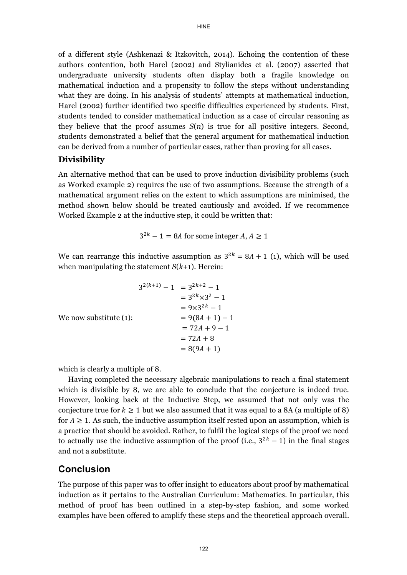of a different style (Ashkenazi & Itzkovitch, 2014). Echoing the contention of these authors contention, both Harel (2002) and Stylianides et al. (2007) asserted that undergraduate university students often display both a fragile knowledge on mathematical induction and a propensity to follow the steps without understanding what they are doing. In his analysis of students' attempts at mathematical induction, Harel (2002) further identified two specific difficulties experienced by students. First, students tended to consider mathematical induction as a case of circular reasoning as they believe that the proof assumes  $S(n)$  is true for all positive integers. Second, students demonstrated a belief that the general argument for mathematical induction can be derived from a number of particular cases, rather than proving for all cases.

#### **Divisibility**

An alternative method that can be used to prove induction divisibility problems (such as Worked example 2) requires the use of two assumptions. Because the strength of a mathematical argument relies on the extent to which assumptions are minimised, the method shown below should be treated cautiously and avoided. If we recommence Worked Example 2 at the inductive step, it could be written that:

$$
3^{2k} - 1 = 8A
$$
 for some integer  $A, A \ge 1$ 

We can rearrange this inductive assumption as  $3^{2k} = 8A + 1$  (1), which will be used when manipulating the statement *S*(*k*+1). Herein:

$$
3^{2(k+1)} - 1 = 3^{2k+2} - 1
$$
  
= 3^{2k} \times 3^2 - 1  
= 9 \times 3^{2k} - 1  
= 9(8A + 1) - 1  
= 72A + 9 - 1  
= 72A + 8  
= 8(9A + 1)

which is clearly a multiple of 8.

 Having completed the necessary algebraic manipulations to reach a final statement which is divisible by 8, we are able to conclude that the conjecture is indeed true. However, looking back at the Inductive Step, we assumed that not only was the conjecture true for  $k \geq 1$  but we also assumed that it was equal to a 8A (a multiple of 8) for  $A \geq 1$ . As such, the inductive assumption itself rested upon an assumption, which is a practice that should be avoided. Rather, to fulfil the logical steps of the proof we need to actually use the inductive assumption of the proof (i.e.,  $3^{2k} - 1$ ) in the final stages and not a substitute.

## **Conclusion**

The purpose of this paper was to offer insight to educators about proof by mathematical induction as it pertains to the Australian Curriculum: Mathematics. In particular, this method of proof has been outlined in a step-by-step fashion, and some worked examples have been offered to amplify these steps and the theoretical approach overall.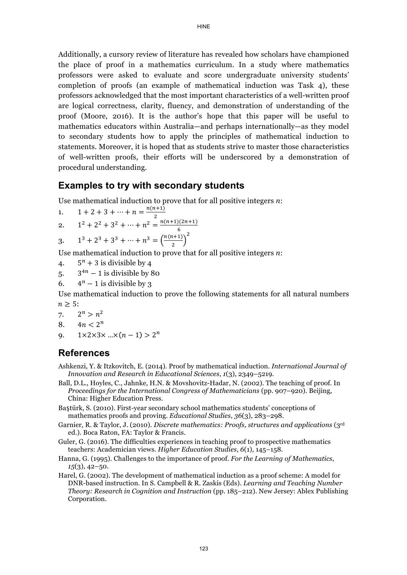Additionally, a cursory review of literature has revealed how scholars have championed the place of proof in a mathematics curriculum. In a study where mathematics professors were asked to evaluate and score undergraduate university students' completion of proofs (an example of mathematical induction was Task 4), these professors acknowledged that the most important characteristics of a well-written proof are logical correctness, clarity, fluency, and demonstration of understanding of the proof (Moore, 2016). It is the author's hope that this paper will be useful to mathematics educators within Australia—and perhaps internationally—as they model to secondary students how to apply the principles of mathematical induction to statements. Moreover, it is hoped that as students strive to master those characteristics of well-written proofs, their efforts will be underscored by a demonstration of procedural understanding.

## **Examples to try with secondary students**

Use mathematical induction to prove that for all positive integers *n*:

1. 
$$
1 + 2 + 3 + \dots + n = \frac{n(n+1)}{2}
$$
  
\n2.  $1^2 + 2^2 + 3^2 + \dots + n^2 = \frac{n(n+1)(2n+1)}{6}$ 

3. 
$$
1^3 + 2^3 + 3^3 + \dots + n^3 = \left(\frac{n(n+1)}{2}\right)^2
$$

Use mathematical induction to prove that for all positive integers *n*:

- 4.  $5^n + 3$  is divisible by 4
- 5.  $3^{4n} 1$  is divisible by 80
- 6.  $4^n 1$  is divisible by 3

Use mathematical induction to prove the following statements for all natural numbers  $n \geq 5$ :

```
7. 2^n > n^2
```
8.  $4n < 2^n$ 

```
9. 1 \times 2 \times 3 \times ... \times (n-1) > 2^n
```
## **References**

- Ashkenzi, Y. & Itzkovitch, E. (2014). Proof by mathematical induction. *International Journal of Innovation and Research in Educational Sciences*, *1*(3), 2349–5219.
- Ball, D.L., Hoyles, C., Jahnke, H.N. & Movshovitz-Hadar, N. (2002). The teaching of proof. In *Proceedings for the International Congress of Mathematicians* (pp. 907–920). Beijing, China: Higher Education Press.
- Baştürk, S. (2010). First-year secondary school mathematics students' conceptions of mathematics proofs and proving. *Educational Studies*, *36*(3), 283–298.
- Garnier, R. & Taylor, J. (2010). *Discrete mathematics: Proofs, structures and applications* (3rd ed.). Boca Raton, FA: Taylor & Francis.
- Guler, G. (2016). The difficulties experiences in teaching proof to prospective mathematics teachers: Academician views. *Higher Education Studies*, *6*(1), 145–158.
- Hanna, G. (1995). Challenges to the importance of proof. *For the Learning of Mathematics*, *15*(3), 42–50.
- Harel, G. (2002). The development of mathematical induction as a proof scheme: A model for DNR-based instruction. In S. Campbell & R. Zaskis (Eds). *Learning and Teaching Number Theory: Research in Cognition and Instruction* (pp. 185–212). New Jersey: Ablex Publishing Corporation.